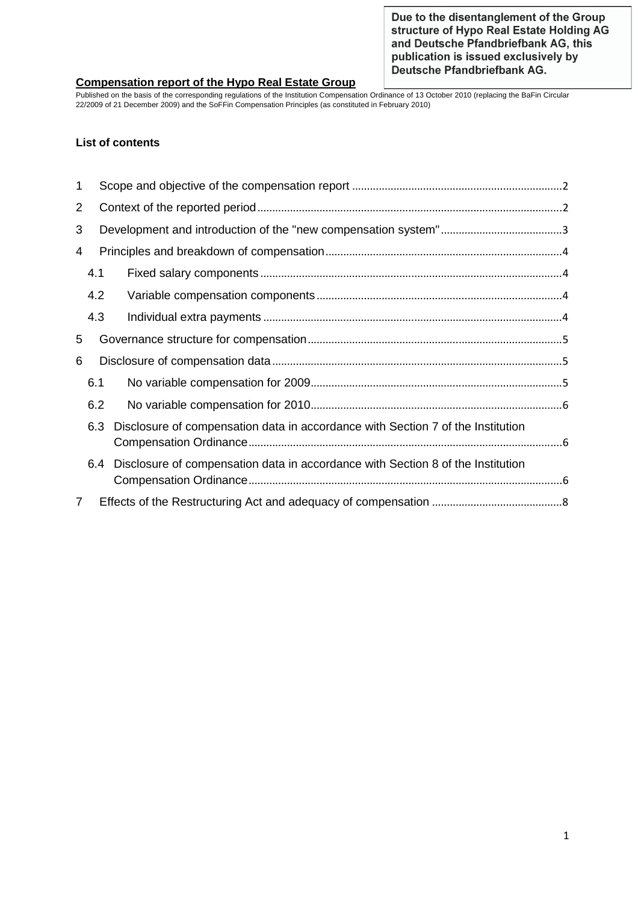Due to the disentanglement of the Group structure of Hypo Real Estate Holding AG and Deutsche Pfandbriefbank AG, this publication is issued exclusively by Deutsche Pfandbriefbank AG.

### **Compensation report of the Hypo Real Estate Group**

Published on the basis of the corresponding regulations of the Institution Compensation Ordinance of 13 October 2010 (replacing the BaFin Circular 22/2009 of 21 December 2009) and the SoFFin Compensation Principles (as constituted in February 2010)

### **List of contents**

| 1              |     |                                                                                 |  |
|----------------|-----|---------------------------------------------------------------------------------|--|
| $\overline{2}$ |     |                                                                                 |  |
| 3              |     |                                                                                 |  |
| 4              |     |                                                                                 |  |
|                | 4.1 |                                                                                 |  |
|                | 4.2 |                                                                                 |  |
|                | 4.3 |                                                                                 |  |
| 5              |     |                                                                                 |  |
| 6              |     |                                                                                 |  |
|                | 6.1 |                                                                                 |  |
|                | 6.2 |                                                                                 |  |
|                | 6.3 | Disclosure of compensation data in accordance with Section 7 of the Institution |  |
|                | 6.4 | Disclosure of compensation data in accordance with Section 8 of the Institution |  |
| $\overline{7}$ |     |                                                                                 |  |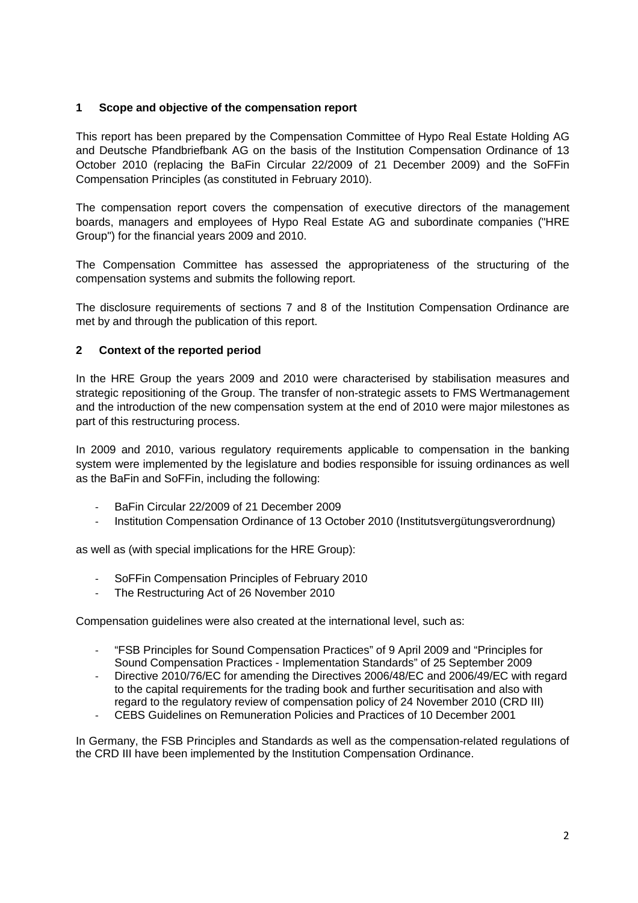# **1 Scope and objective of the compensation report**

This report has been prepared by the Compensation Committee of Hypo Real Estate Holding AG and Deutsche Pfandbriefbank AG on the basis of the Institution Compensation Ordinance of 13 October 2010 (replacing the BaFin Circular 22/2009 of 21 December 2009) and the SoFFin Compensation Principles (as constituted in February 2010).

The compensation report covers the compensation of executive directors of the management boards, managers and employees of Hypo Real Estate AG and subordinate companies ("HRE Group") for the financial years 2009 and 2010.

The Compensation Committee has assessed the appropriateness of the structuring of the compensation systems and submits the following report.

The disclosure requirements of sections 7 and 8 of the Institution Compensation Ordinance are met by and through the publication of this report.

# **2 Context of the reported period**

In the HRE Group the years 2009 and 2010 were characterised by stabilisation measures and strategic repositioning of the Group. The transfer of non-strategic assets to FMS Wertmanagement and the introduction of the new compensation system at the end of 2010 were major milestones as part of this restructuring process.

In 2009 and 2010, various regulatory requirements applicable to compensation in the banking system were implemented by the legislature and bodies responsible for issuing ordinances as well as the BaFin and SoFFin, including the following:

- BaFin Circular 22/2009 of 21 December 2009
- Institution Compensation Ordinance of 13 October 2010 (Institutsvergütungsverordnung)

as well as (with special implications for the HRE Group):

- SoFFin Compensation Principles of February 2010
- The Restructuring Act of 26 November 2010

Compensation guidelines were also created at the international level, such as:

- "FSB Principles for Sound Compensation Practices" of 9 April 2009 and "Principles for Sound Compensation Practices - Implementation Standards" of 25 September 2009
- Directive 2010/76/EC for amending the Directives 2006/48/EC and 2006/49/EC with regard to the capital requirements for the trading book and further securitisation and also with regard to the regulatory review of compensation policy of 24 November 2010 (CRD III)
- CEBS Guidelines on Remuneration Policies and Practices of 10 December 2001

In Germany, the FSB Principles and Standards as well as the compensation-related regulations of the CRD III have been implemented by the Institution Compensation Ordinance.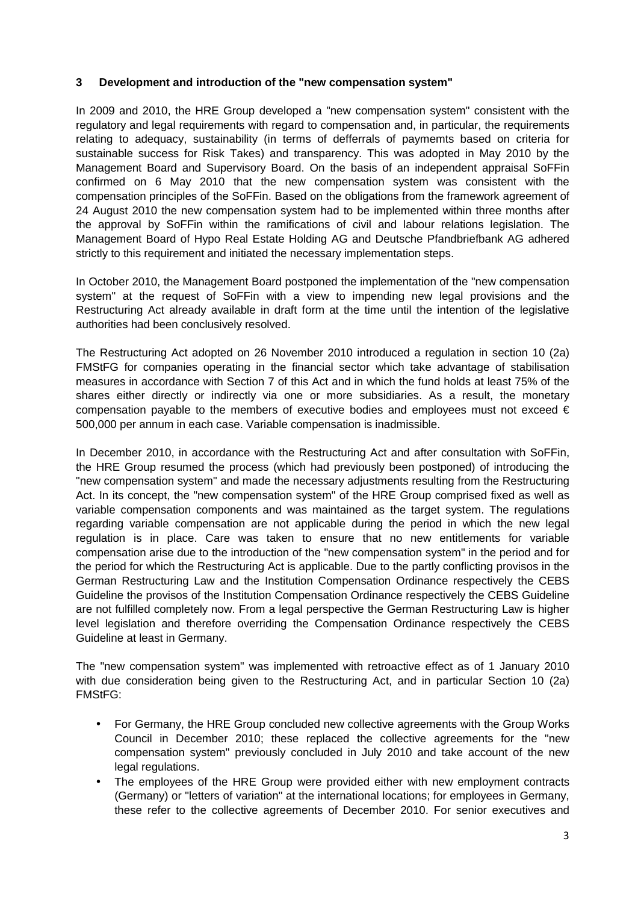### **3 Development and introduction of the "new compensation system"**

In 2009 and 2010, the HRE Group developed a "new compensation system" consistent with the regulatory and legal requirements with regard to compensation and, in particular, the requirements relating to adequacy, sustainability (in terms of defferrals of paymemts based on criteria for sustainable success for Risk Takes) and transparency. This was adopted in May 2010 by the Management Board and Supervisory Board. On the basis of an independent appraisal SoFFin confirmed on 6 May 2010 that the new compensation system was consistent with the compensation principles of the SoFFin. Based on the obligations from the framework agreement of 24 August 2010 the new compensation system had to be implemented within three months after the approval by SoFFin within the ramifications of civil and labour relations legislation. The Management Board of Hypo Real Estate Holding AG and Deutsche Pfandbriefbank AG adhered strictly to this requirement and initiated the necessary implementation steps.

In October 2010, the Management Board postponed the implementation of the "new compensation system" at the request of SoFFin with a view to impending new legal provisions and the Restructuring Act already available in draft form at the time until the intention of the legislative authorities had been conclusively resolved.

The Restructuring Act adopted on 26 November 2010 introduced a regulation in section 10 (2a) FMStFG for companies operating in the financial sector which take advantage of stabilisation measures in accordance with Section 7 of this Act and in which the fund holds at least 75% of the shares either directly or indirectly via one or more subsidiaries. As a result, the monetary compensation payable to the members of executive bodies and employees must not exceed  $\epsilon$ 500,000 per annum in each case. Variable compensation is inadmissible.

In December 2010, in accordance with the Restructuring Act and after consultation with SoFFin, the HRE Group resumed the process (which had previously been postponed) of introducing the "new compensation system" and made the necessary adjustments resulting from the Restructuring Act. In its concept, the "new compensation system" of the HRE Group comprised fixed as well as variable compensation components and was maintained as the target system. The regulations regarding variable compensation are not applicable during the period in which the new legal regulation is in place. Care was taken to ensure that no new entitlements for variable compensation arise due to the introduction of the "new compensation system" in the period and for the period for which the Restructuring Act is applicable. Due to the partly conflicting provisos in the German Restructuring Law and the Institution Compensation Ordinance respectively the CEBS Guideline the provisos of the Institution Compensation Ordinance respectively the CEBS Guideline are not fulfilled completely now. From a legal perspective the German Restructuring Law is higher level legislation and therefore overriding the Compensation Ordinance respectively the CEBS Guideline at least in Germany.

The "new compensation system" was implemented with retroactive effect as of 1 January 2010 with due consideration being given to the Restructuring Act, and in particular Section 10 (2a) FMStFG:

- For Germany, the HRE Group concluded new collective agreements with the Group Works Council in December 2010; these replaced the collective agreements for the "new compensation system" previously concluded in July 2010 and take account of the new legal regulations.
- The employees of the HRE Group were provided either with new employment contracts (Germany) or "letters of variation" at the international locations; for employees in Germany, these refer to the collective agreements of December 2010. For senior executives and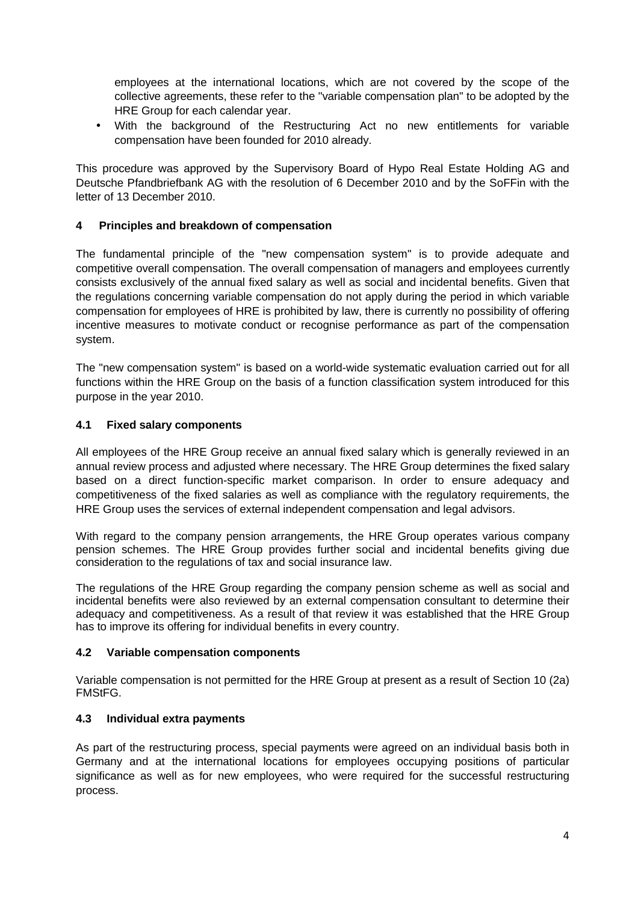employees at the international locations, which are not covered by the scope of the collective agreements, these refer to the "variable compensation plan" to be adopted by the HRE Group for each calendar year.

• With the background of the Restructuring Act no new entitlements for variable compensation have been founded for 2010 already.

This procedure was approved by the Supervisory Board of Hypo Real Estate Holding AG and Deutsche Pfandbriefbank AG with the resolution of 6 December 2010 and by the SoFFin with the letter of 13 December 2010.

# **4 Principles and breakdown of compensation**

The fundamental principle of the "new compensation system" is to provide adequate and competitive overall compensation. The overall compensation of managers and employees currently consists exclusively of the annual fixed salary as well as social and incidental benefits. Given that the regulations concerning variable compensation do not apply during the period in which variable compensation for employees of HRE is prohibited by law, there is currently no possibility of offering incentive measures to motivate conduct or recognise performance as part of the compensation system.

The "new compensation system" is based on a world-wide systematic evaluation carried out for all functions within the HRE Group on the basis of a function classification system introduced for this purpose in the year 2010.

#### **4.1 Fixed salary components**

All employees of the HRE Group receive an annual fixed salary which is generally reviewed in an annual review process and adjusted where necessary. The HRE Group determines the fixed salary based on a direct function-specific market comparison. In order to ensure adequacy and competitiveness of the fixed salaries as well as compliance with the regulatory requirements, the HRE Group uses the services of external independent compensation and legal advisors.

With regard to the company pension arrangements, the HRE Group operates various company pension schemes. The HRE Group provides further social and incidental benefits giving due consideration to the regulations of tax and social insurance law.

The regulations of the HRE Group regarding the company pension scheme as well as social and incidental benefits were also reviewed by an external compensation consultant to determine their adequacy and competitiveness. As a result of that review it was established that the HRE Group has to improve its offering for individual benefits in every country.

#### **4.2 Variable compensation components**

Variable compensation is not permitted for the HRE Group at present as a result of Section 10 (2a) FMStFG.

#### **4.3 Individual extra payments**

As part of the restructuring process, special payments were agreed on an individual basis both in Germany and at the international locations for employees occupying positions of particular significance as well as for new employees, who were required for the successful restructuring process.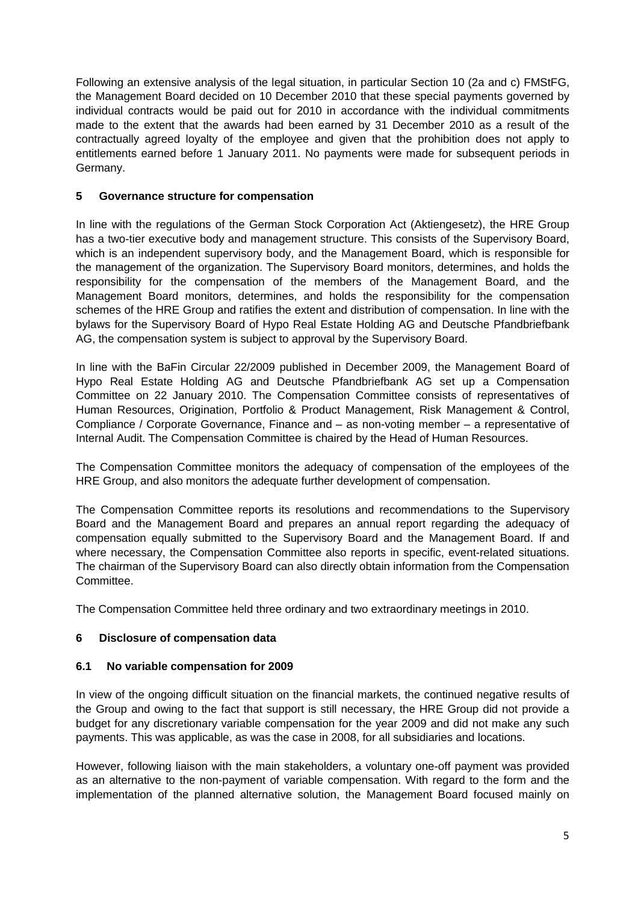Following an extensive analysis of the legal situation, in particular Section 10 (2a and c) FMStFG, the Management Board decided on 10 December 2010 that these special payments governed by individual contracts would be paid out for 2010 in accordance with the individual commitments made to the extent that the awards had been earned by 31 December 2010 as a result of the contractually agreed loyalty of the employee and given that the prohibition does not apply to entitlements earned before 1 January 2011. No payments were made for subsequent periods in Germany.

# **5 Governance structure for compensation**

In line with the regulations of the German Stock Corporation Act (Aktiengesetz), the HRE Group has a two-tier executive body and management structure. This consists of the Supervisory Board, which is an independent supervisory body, and the Management Board, which is responsible for the management of the organization. The Supervisory Board monitors, determines, and holds the responsibility for the compensation of the members of the Management Board, and the Management Board monitors, determines, and holds the responsibility for the compensation schemes of the HRE Group and ratifies the extent and distribution of compensation. In line with the bylaws for the Supervisory Board of Hypo Real Estate Holding AG and Deutsche Pfandbriefbank AG, the compensation system is subject to approval by the Supervisory Board.

In line with the BaFin Circular 22/2009 published in December 2009, the Management Board of Hypo Real Estate Holding AG and Deutsche Pfandbriefbank AG set up a Compensation Committee on 22 January 2010. The Compensation Committee consists of representatives of Human Resources, Origination, Portfolio & Product Management, Risk Management & Control, Compliance / Corporate Governance, Finance and – as non-voting member – a representative of Internal Audit. The Compensation Committee is chaired by the Head of Human Resources.

The Compensation Committee monitors the adequacy of compensation of the employees of the HRE Group, and also monitors the adequate further development of compensation.

The Compensation Committee reports its resolutions and recommendations to the Supervisory Board and the Management Board and prepares an annual report regarding the adequacy of compensation equally submitted to the Supervisory Board and the Management Board. If and where necessary, the Compensation Committee also reports in specific, event-related situations. The chairman of the Supervisory Board can also directly obtain information from the Compensation Committee.

The Compensation Committee held three ordinary and two extraordinary meetings in 2010.

# **6 Disclosure of compensation data**

# **6.1 No variable compensation for 2009**

In view of the ongoing difficult situation on the financial markets, the continued negative results of the Group and owing to the fact that support is still necessary, the HRE Group did not provide a budget for any discretionary variable compensation for the year 2009 and did not make any such payments. This was applicable, as was the case in 2008, for all subsidiaries and locations.

However, following liaison with the main stakeholders, a voluntary one-off payment was provided as an alternative to the non-payment of variable compensation. With regard to the form and the implementation of the planned alternative solution, the Management Board focused mainly on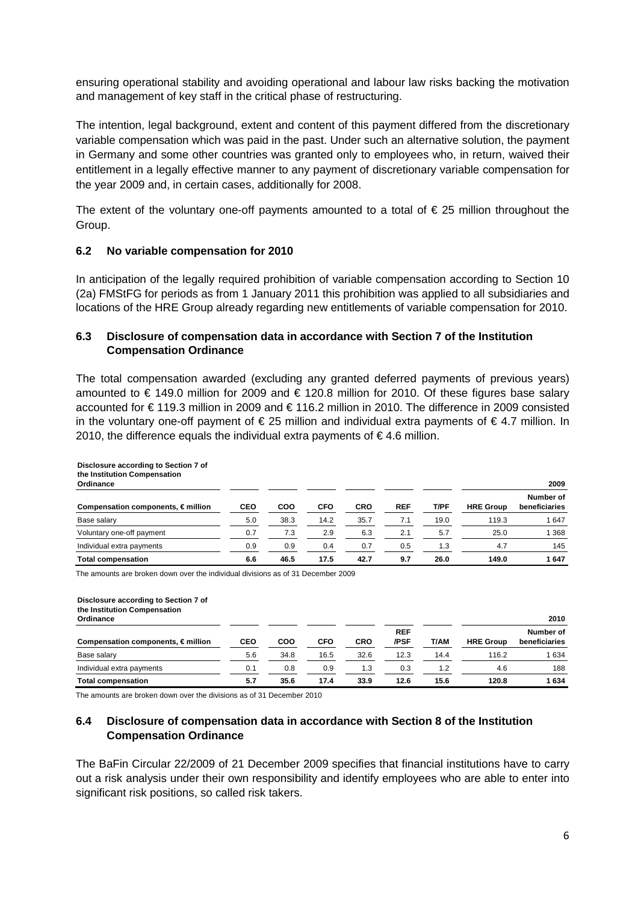ensuring operational stability and avoiding operational and labour law risks backing the motivation and management of key staff in the critical phase of restructuring.

The intention, legal background, extent and content of this payment differed from the discretionary variable compensation which was paid in the past. Under such an alternative solution, the payment in Germany and some other countries was granted only to employees who, in return, waived their entitlement in a legally effective manner to any payment of discretionary variable compensation for the year 2009 and, in certain cases, additionally for 2008.

The extent of the voluntary one-off payments amounted to a total of  $\epsilon$  25 million throughout the Group.

### **6.2 No variable compensation for 2010**

In anticipation of the legally required prohibition of variable compensation according to Section 10 (2a) FMStFG for periods as from 1 January 2011 this prohibition was applied to all subsidiaries and locations of the HRE Group already regarding new entitlements of variable compensation for 2010.

### **6.3 Disclosure of compensation data in accordance with Section 7 of the Institution Compensation Ordinance**

The total compensation awarded (excluding any granted deferred payments of previous years) amounted to € 149.0 million for 2009 and € 120.8 million for 2010. Of these figures base salary accounted for € 119.3 million in 2009 and € 116.2 million in 2010. The difference in 2009 consisted in the voluntary one-off payment of  $\epsilon$  25 million and individual extra payments of  $\epsilon$  4.7 million. In 2010, the difference equals the individual extra payments of €4.6 million.

| Disclosure according to Section 7 of<br>the Institution Compensation<br>Ordinance |            | 2009 |            |            |            |      |                  |                            |
|-----------------------------------------------------------------------------------|------------|------|------------|------------|------------|------|------------------|----------------------------|
| Compensation components, $\epsilon$ million                                       | <b>CEO</b> | COO  | <b>CFO</b> | <b>CRO</b> | <b>REF</b> | T/PF | <b>HRE Group</b> | Number of<br>beneficiaries |
| Base salary                                                                       | 5.0        | 38.3 | 14.2       | 35.7       | 7.1        | 19.0 | 119.3            | 1647                       |
| Voluntary one-off payment                                                         | 0.7        | 7.3  | 2.9        | 6.3        | 2.1        | 5.7  | 25.0             | 1 3 6 8                    |
| Individual extra payments                                                         | 0.9        | 0.9  | 0.4        | 0.7        | 0.5        | 1.3  | 4.7              | 145                        |
| <b>Total compensation</b>                                                         | 6.6        | 46.5 | 17.5       | 42.7       | 9.7        | 26.0 | 149.0            | 1647                       |

The amounts are broken down over the individual divisions as of 31 December 2009

| Disclosure according to Section 7 of<br>the Institution Compensation<br>Ordinance |            |      |            |            |                    |      |                  | 2010                       |
|-----------------------------------------------------------------------------------|------------|------|------------|------------|--------------------|------|------------------|----------------------------|
| Compensation components, $\in$ million                                            | <b>CEO</b> | COO  | <b>CFO</b> | <b>CRO</b> | <b>REF</b><br>/PSF | T/AM | <b>HRE Group</b> | Number of<br>beneficiaries |
| Base salary                                                                       | 5.6        | 34.8 | 16.5       | 32.6       | 12.3               | 14.4 | 116.2            | 1 6 3 4                    |
| Individual extra payments                                                         | 0.1        | 0.8  | 0.9        | 1.3        | 0.3                | 1.2  | 4.6              | 188                        |
| <b>Total compensation</b>                                                         | 5.7        | 35.6 | 17.4       | 33.9       | 12.6               | 15.6 | 120.8            | 1634                       |

The amounts are broken down over the divisions as of 31 December 2010

### **6.4 Disclosure of compensation data in accordance with Section 8 of the Institution Compensation Ordinance**

The BaFin Circular 22/2009 of 21 December 2009 specifies that financial institutions have to carry out a risk analysis under their own responsibility and identify employees who are able to enter into significant risk positions, so called risk takers.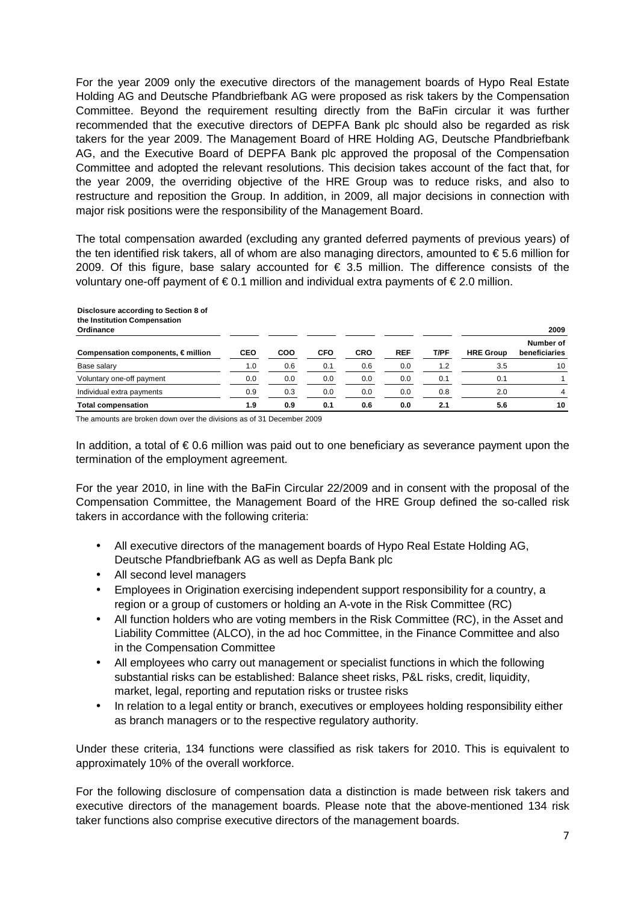For the year 2009 only the executive directors of the management boards of Hypo Real Estate Holding AG and Deutsche Pfandbriefbank AG were proposed as risk takers by the Compensation Committee. Beyond the requirement resulting directly from the BaFin circular it was further recommended that the executive directors of DEPFA Bank plc should also be regarded as risk takers for the year 2009. The Management Board of HRE Holding AG, Deutsche Pfandbriefbank AG, and the Executive Board of DEPFA Bank plc approved the proposal of the Compensation Committee and adopted the relevant resolutions. This decision takes account of the fact that, for the year 2009, the overriding objective of the HRE Group was to reduce risks, and also to restructure and reposition the Group. In addition, in 2009, all major decisions in connection with major risk positions were the responsibility of the Management Board.

The total compensation awarded (excluding any granted deferred payments of previous years) of the ten identified risk takers, all of whom are also managing directors, amounted to  $\epsilon$  5.6 million for 2009. Of this figure, base salary accounted for  $\epsilon$  3.5 million. The difference consists of the voluntary one-off payment of  $\epsilon$  0.1 million and individual extra payments of  $\epsilon$  2.0 million.

| Disclosure according to Section 8 of<br>the Institution Compensation<br>Ordinance |            |            |            |            |            |      |                  | 2009                       |
|-----------------------------------------------------------------------------------|------------|------------|------------|------------|------------|------|------------------|----------------------------|
| Compensation components, $\in$ million                                            | <b>CEO</b> | <b>COO</b> | <b>CFO</b> | <b>CRO</b> | <b>REF</b> | T/PF | <b>HRE Group</b> | Number of<br>beneficiaries |
| Base salary                                                                       | 1.0        | 0.6        | 0.1        | 0.6        | 0.0        | 1.2  | 3.5              | 10                         |
| Voluntary one-off payment                                                         | 0.0        | 0.0        | 0.0        | 0.0        | 0.0        | 0.1  | 0.1              |                            |
| Individual extra payments                                                         | 0.9        | 0.3        | 0.0        | 0.0        | 0.0        | 0.8  | 2.0              | 4                          |
| <b>Total compensation</b>                                                         | 1.9        | 0.9        | 0.1        | 0.6        | 0.0        | 2.1  | 5.6              | 10                         |

The amounts are broken down over the divisions as of 31 December 2009

In addition, a total of  $\epsilon$  0.6 million was paid out to one beneficiary as severance payment upon the termination of the employment agreement.

For the year 2010, in line with the BaFin Circular 22/2009 and in consent with the proposal of the Compensation Committee, the Management Board of the HRE Group defined the so-called risk takers in accordance with the following criteria:

- All executive directors of the management boards of Hypo Real Estate Holding AG, Deutsche Pfandbriefbank AG as well as Depfa Bank plc
- All second level managers
- Employees in Origination exercising independent support responsibility for a country, a region or a group of customers or holding an A-vote in the Risk Committee (RC)
- All function holders who are voting members in the Risk Committee (RC), in the Asset and Liability Committee (ALCO), in the ad hoc Committee, in the Finance Committee and also in the Compensation Committee
- All employees who carry out management or specialist functions in which the following substantial risks can be established: Balance sheet risks, P&L risks, credit, liquidity, market, legal, reporting and reputation risks or trustee risks
- In relation to a legal entity or branch, executives or employees holding responsibility either as branch managers or to the respective regulatory authority.

Under these criteria, 134 functions were classified as risk takers for 2010. This is equivalent to approximately 10% of the overall workforce.

For the following disclosure of compensation data a distinction is made between risk takers and executive directors of the management boards. Please note that the above-mentioned 134 risk taker functions also comprise executive directors of the management boards.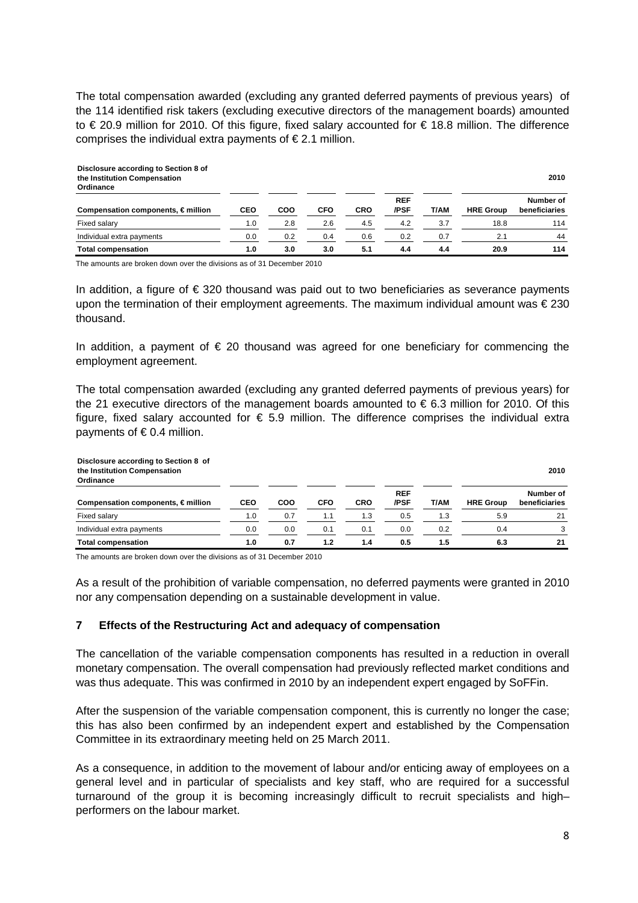The total compensation awarded (excluding any granted deferred payments of previous years) of the 114 identified risk takers (excluding executive directors of the management boards) amounted to € 20.9 million for 2010. Of this figure, fixed salary accounted for € 18.8 million. The difference comprises the individual extra payments of  $\epsilon$  2.1 million.

| Disclosure according to Section 8 of<br>the Institution Compensation<br>Ordinance |            |     |            |            |                    |      |                  | 2010                       |
|-----------------------------------------------------------------------------------|------------|-----|------------|------------|--------------------|------|------------------|----------------------------|
| Compensation components, $\in$ million                                            | <b>CEO</b> | COO | <b>CFO</b> | <b>CRO</b> | <b>REF</b><br>/PSF | T/AM | <b>HRE Group</b> | Number of<br>beneficiaries |
| Fixed salary                                                                      | 1.0        | 2.8 | 2.6        | 4.5        | 4.2                | 3.7  | 18.8             | 114                        |
| Individual extra payments                                                         | 0.0        | 0.2 | 0.4        | 0.6        | 0.2                | 0.7  | 2.1              | 44                         |
| <b>Total compensation</b>                                                         | 1.0        | 3.0 | 3.0        | 5.1        | 4.4                | 4.4  | 20.9             | 114                        |

The amounts are broken down over the divisions as of 31 December 2010

In addition, a figure of  $\epsilon$  320 thousand was paid out to two beneficiaries as severance payments upon the termination of their employment agreements. The maximum individual amount was € 230 thousand.

In addition, a payment of  $\epsilon$  20 thousand was agreed for one beneficiary for commencing the employment agreement.

The total compensation awarded (excluding any granted deferred payments of previous years) for the 21 executive directors of the management boards amounted to  $\epsilon$  6.3 million for 2010. Of this figure, fixed salary accounted for  $\epsilon$  5.9 million. The difference comprises the individual extra payments of  $\in$  0.4 million.

| Disclosure according to Section 8 of<br>the Institution Compensation<br>Ordinance |            |     |            |            |                    |      |                  | 2010                       |
|-----------------------------------------------------------------------------------|------------|-----|------------|------------|--------------------|------|------------------|----------------------------|
| Compensation components, $\in$ million                                            | <b>CEO</b> | COO | <b>CFO</b> | <b>CRO</b> | <b>REF</b><br>/PSF | T/AM | <b>HRE Group</b> | Number of<br>beneficiaries |
| Fixed salary                                                                      | 1.0        | 0.7 | 1.1        | 1.3        | 0.5                | 1.3  | 5.9              | 21                         |
| Individual extra payments                                                         | 0.0        | 0.0 | 0.1        | 0.1        | 0.0                | 0.2  | 0.4              |                            |
| <b>Total compensation</b>                                                         | 1.0        | 0.7 | 1.2        | 1.4        | 0.5                | 1.5  | 6.3              | 21                         |

The amounts are broken down over the divisions as of 31 December 2010

As a result of the prohibition of variable compensation, no deferred payments were granted in 2010 nor any compensation depending on a sustainable development in value.

#### **7 Effects of the Restructuring Act and adequacy of compensation**

The cancellation of the variable compensation components has resulted in a reduction in overall monetary compensation. The overall compensation had previously reflected market conditions and was thus adequate. This was confirmed in 2010 by an independent expert engaged by SoFFin.

After the suspension of the variable compensation component, this is currently no longer the case; this has also been confirmed by an independent expert and established by the Compensation Committee in its extraordinary meeting held on 25 March 2011.

As a consequence, in addition to the movement of labour and/or enticing away of employees on a general level and in particular of specialists and key staff, who are required for a successful turnaround of the group it is becoming increasingly difficult to recruit specialists and high– performers on the labour market.